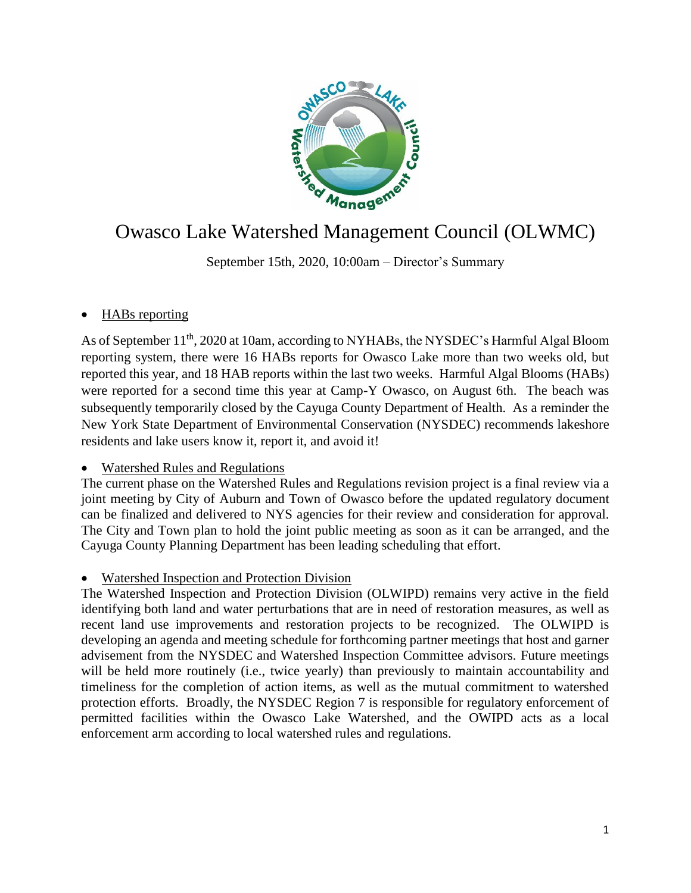

# Owasco Lake Watershed Management Council (OLWMC)

September 15th, 2020, 10:00am – Director's Summary

## HABs reporting

As of September 11<sup>th</sup>, 2020 at 10am, according to NYHABs, the NYSDEC's Harmful Algal Bloom reporting system, there were 16 HABs reports for Owasco Lake more than two weeks old, but reported this year, and 18 HAB reports within the last two weeks. Harmful Algal Blooms (HABs) were reported for a second time this year at Camp-Y Owasco, on August 6th. The beach was subsequently temporarily closed by the Cayuga County Department of Health. As a reminder the New York State Department of Environmental Conservation (NYSDEC) recommends lakeshore residents and lake users know it, report it, and avoid it!

### Watershed Rules and Regulations

The current phase on the Watershed Rules and Regulations revision project is a final review via a joint meeting by City of Auburn and Town of Owasco before the updated regulatory document can be finalized and delivered to NYS agencies for their review and consideration for approval. The City and Town plan to hold the joint public meeting as soon as it can be arranged, and the Cayuga County Planning Department has been leading scheduling that effort.

### Watershed Inspection and Protection Division

The Watershed Inspection and Protection Division (OLWIPD) remains very active in the field identifying both land and water perturbations that are in need of restoration measures, as well as recent land use improvements and restoration projects to be recognized. The OLWIPD is developing an agenda and meeting schedule for forthcoming partner meetings that host and garner advisement from the NYSDEC and Watershed Inspection Committee advisors. Future meetings will be held more routinely (i.e., twice yearly) than previously to maintain accountability and timeliness for the completion of action items, as well as the mutual commitment to watershed protection efforts. Broadly, the NYSDEC Region 7 is responsible for regulatory enforcement of permitted facilities within the Owasco Lake Watershed, and the OWIPD acts as a local enforcement arm according to local watershed rules and regulations.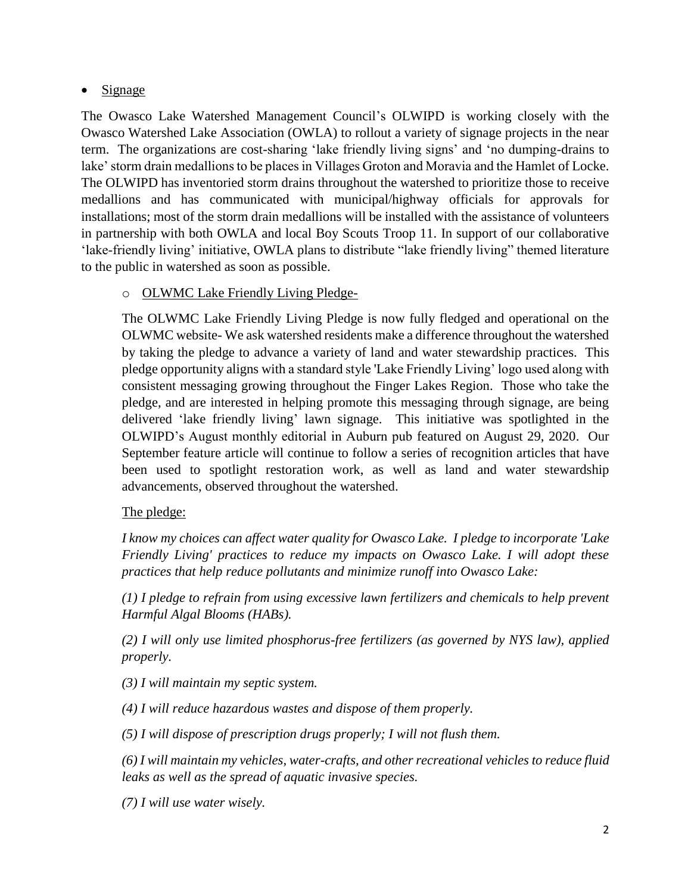## $\bullet$  Signage

The Owasco Lake Watershed Management Council's OLWIPD is working closely with the Owasco Watershed Lake Association (OWLA) to rollout a variety of signage projects in the near term. The organizations are cost-sharing 'lake friendly living signs' and 'no dumping-drains to lake' storm drain medallions to be places in Villages Groton and Moravia and the Hamlet of Locke. The OLWIPD has inventoried storm drains throughout the watershed to prioritize those to receive medallions and has communicated with municipal/highway officials for approvals for installations; most of the storm drain medallions will be installed with the assistance of volunteers in partnership with both OWLA and local Boy Scouts Troop 11. In support of our collaborative 'lake-friendly living' initiative, OWLA plans to distribute "lake friendly living" themed literature to the public in watershed as soon as possible.

## o OLWMC Lake Friendly Living Pledge-

The OLWMC Lake Friendly Living Pledge is now fully fledged and operational on the OLWMC website- We ask watershed residents make a difference throughout the watershed by taking the pledge to advance a variety of land and water stewardship practices. This pledge opportunity aligns with a standard style 'Lake Friendly Living' logo used along with consistent messaging growing throughout the Finger Lakes Region. Those who take the pledge, and are interested in helping promote this messaging through signage, are being delivered 'lake friendly living' lawn signage. This initiative was spotlighted in the OLWIPD's August monthly editorial in Auburn pub featured on August 29, 2020. Our September feature article will continue to follow a series of recognition articles that have been used to spotlight restoration work, as well as land and water stewardship advancements, observed throughout the watershed.

### The pledge:

*I know my choices can affect water quality for Owasco Lake. I pledge to incorporate 'Lake Friendly Living' practices to reduce my impacts on Owasco Lake. I will adopt these practices that help reduce pollutants and minimize runoff into Owasco Lake:*

*(1) I pledge to refrain from using excessive lawn fertilizers and chemicals to help prevent Harmful Algal Blooms (HABs).*

*(2) I will only use limited phosphorus-free fertilizers (as governed by NYS law), applied properly.*

*(3) I will maintain my septic system.*

*(4) I will reduce hazardous wastes and dispose of them properly.*

*(5) I will dispose of prescription drugs properly; I will not flush them.*

*(6) I will maintain my vehicles, water-crafts, and other recreational vehicles to reduce fluid leaks as well as the spread of aquatic invasive species.*

*(7) I will use water wisely.*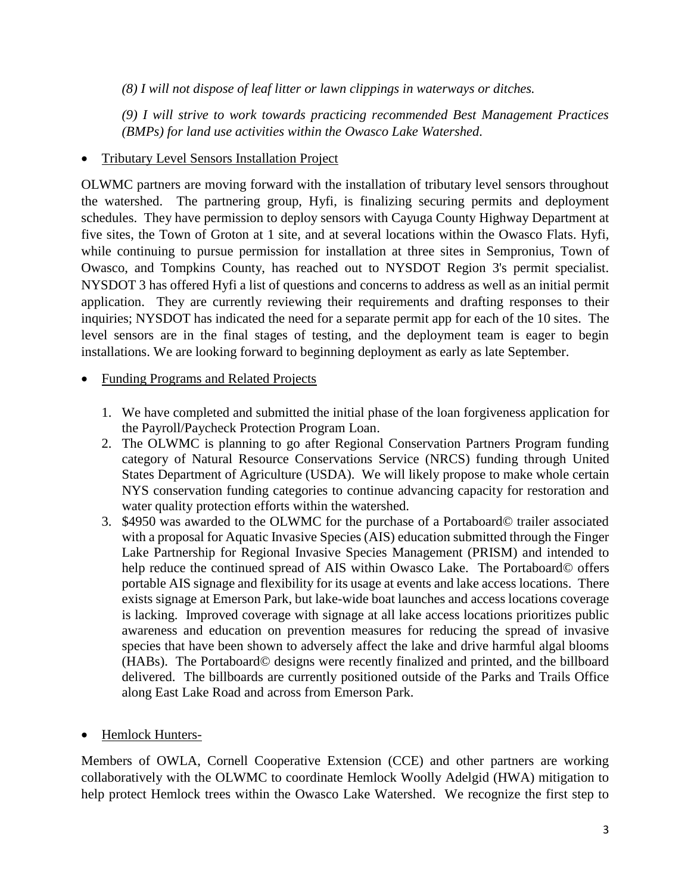*(8) I will not dispose of leaf litter or lawn clippings in waterways or ditches.*

*(9) I will strive to work towards practicing recommended Best Management Practices (BMPs) for land use activities within the Owasco Lake Watershed.*

Tributary Level Sensors Installation Project

OLWMC partners are moving forward with the installation of tributary level sensors throughout the watershed. The partnering group, Hyfi, is finalizing securing permits and deployment schedules. They have permission to deploy sensors with Cayuga County Highway Department at five sites, the Town of Groton at 1 site, and at several locations within the Owasco Flats. Hyfi, while continuing to pursue permission for installation at three sites in Sempronius, Town of Owasco, and Tompkins County, has reached out to NYSDOT Region 3's permit specialist. NYSDOT 3 has offered Hyfi a list of questions and concerns to address as well as an initial permit application. They are currently reviewing their requirements and drafting responses to their inquiries; NYSDOT has indicated the need for a separate permit app for each of the 10 sites. The level sensors are in the final stages of testing, and the deployment team is eager to begin installations. We are looking forward to beginning deployment as early as late September.

- Funding Programs and Related Projects
	- 1. We have completed and submitted the initial phase of the loan forgiveness application for the Payroll/Paycheck Protection Program Loan.
	- 2. The OLWMC is planning to go after Regional Conservation Partners Program funding category of Natural Resource Conservations Service (NRCS) funding through United States Department of Agriculture (USDA). We will likely propose to make whole certain NYS conservation funding categories to continue advancing capacity for restoration and water quality protection efforts within the watershed.
	- 3. \$4950 was awarded to the OLWMC for the purchase of a Portaboard© trailer associated with a proposal for Aquatic Invasive Species (AIS) education submitted through the Finger Lake Partnership for Regional Invasive Species Management (PRISM) and intended to help reduce the continued spread of AIS within Owasco Lake. The Portaboard© offers portable AIS signage and flexibility for its usage at events and lake access locations. There exists signage at Emerson Park, but lake-wide boat launches and access locations coverage is lacking. Improved coverage with signage at all lake access locations prioritizes public awareness and education on prevention measures for reducing the spread of invasive species that have been shown to adversely affect the lake and drive harmful algal blooms (HABs). The Portaboard© designs were recently finalized and printed, and the billboard delivered. The billboards are currently positioned outside of the Parks and Trails Office along East Lake Road and across from Emerson Park.
- Hemlock Hunters-

Members of OWLA, Cornell Cooperative Extension (CCE) and other partners are working collaboratively with the OLWMC to coordinate Hemlock Woolly Adelgid (HWA) mitigation to help protect Hemlock trees within the Owasco Lake Watershed. We recognize the first step to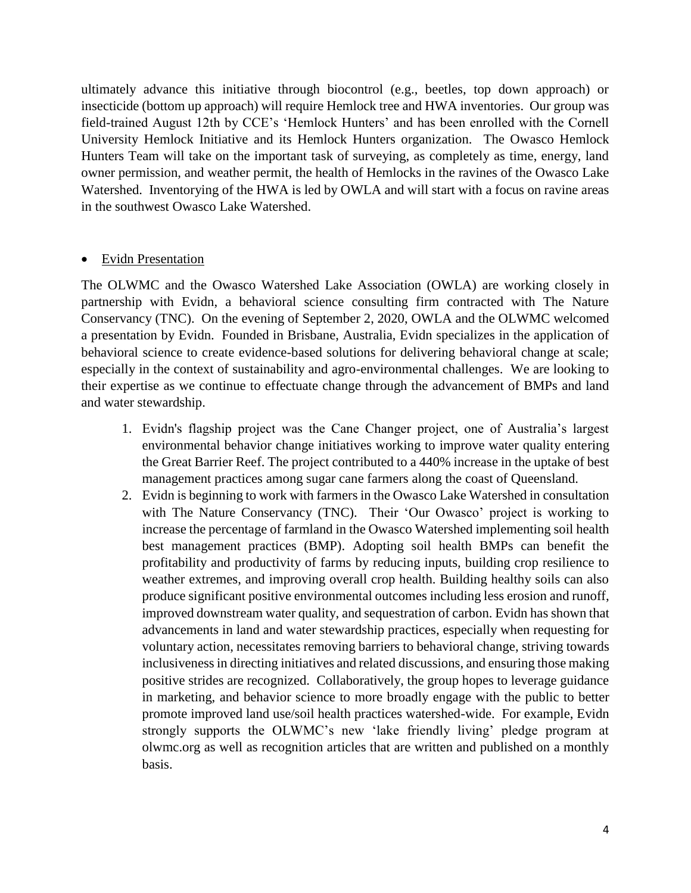ultimately advance this initiative through biocontrol (e.g., beetles, top down approach) or insecticide (bottom up approach) will require Hemlock tree and HWA inventories. Our group was field-trained August 12th by CCE's 'Hemlock Hunters' and has been enrolled with the Cornell University Hemlock Initiative and its Hemlock Hunters organization. The Owasco Hemlock Hunters Team will take on the important task of surveying, as completely as time, energy, land owner permission, and weather permit, the health of Hemlocks in the ravines of the Owasco Lake Watershed. Inventorying of the HWA is led by OWLA and will start with a focus on ravine areas in the southwest Owasco Lake Watershed.

#### Evidn Presentation

The OLWMC and the Owasco Watershed Lake Association (OWLA) are working closely in partnership with Evidn, a behavioral science consulting firm contracted with The Nature Conservancy (TNC). On the evening of September 2, 2020, OWLA and the OLWMC welcomed a presentation by Evidn. Founded in Brisbane, Australia, Evidn specializes in the application of behavioral science to create evidence-based solutions for delivering behavioral change at scale; especially in the context of sustainability and agro-environmental challenges. We are looking to their expertise as we continue to effectuate change through the advancement of BMPs and land and water stewardship.

- 1. Evidn's flagship project was the Cane Changer project, one of Australia's largest environmental behavior change initiatives working to improve water quality entering the Great Barrier Reef. The project contributed to a 440% increase in the uptake of best management practices among sugar cane farmers along the coast of Queensland.
- 2. Evidn is beginning to work with farmers in the Owasco Lake Watershed in consultation with The Nature Conservancy (TNC). Their 'Our Owasco' project is working to increase the percentage of farmland in the Owasco Watershed implementing soil health best management practices (BMP). Adopting soil health BMPs can benefit the profitability and productivity of farms by reducing inputs, building crop resilience to weather extremes, and improving overall crop health. Building healthy soils can also produce significant positive environmental outcomes including less erosion and runoff, improved downstream water quality, and sequestration of carbon. Evidn has shown that advancements in land and water stewardship practices, especially when requesting for voluntary action, necessitates removing barriers to behavioral change, striving towards inclusiveness in directing initiatives and related discussions, and ensuring those making positive strides are recognized. Collaboratively, the group hopes to leverage guidance in marketing, and behavior science to more broadly engage with the public to better promote improved land use/soil health practices watershed-wide. For example, Evidn strongly supports the OLWMC's new 'lake friendly living' pledge program at olwmc.org as well as recognition articles that are written and published on a monthly basis.